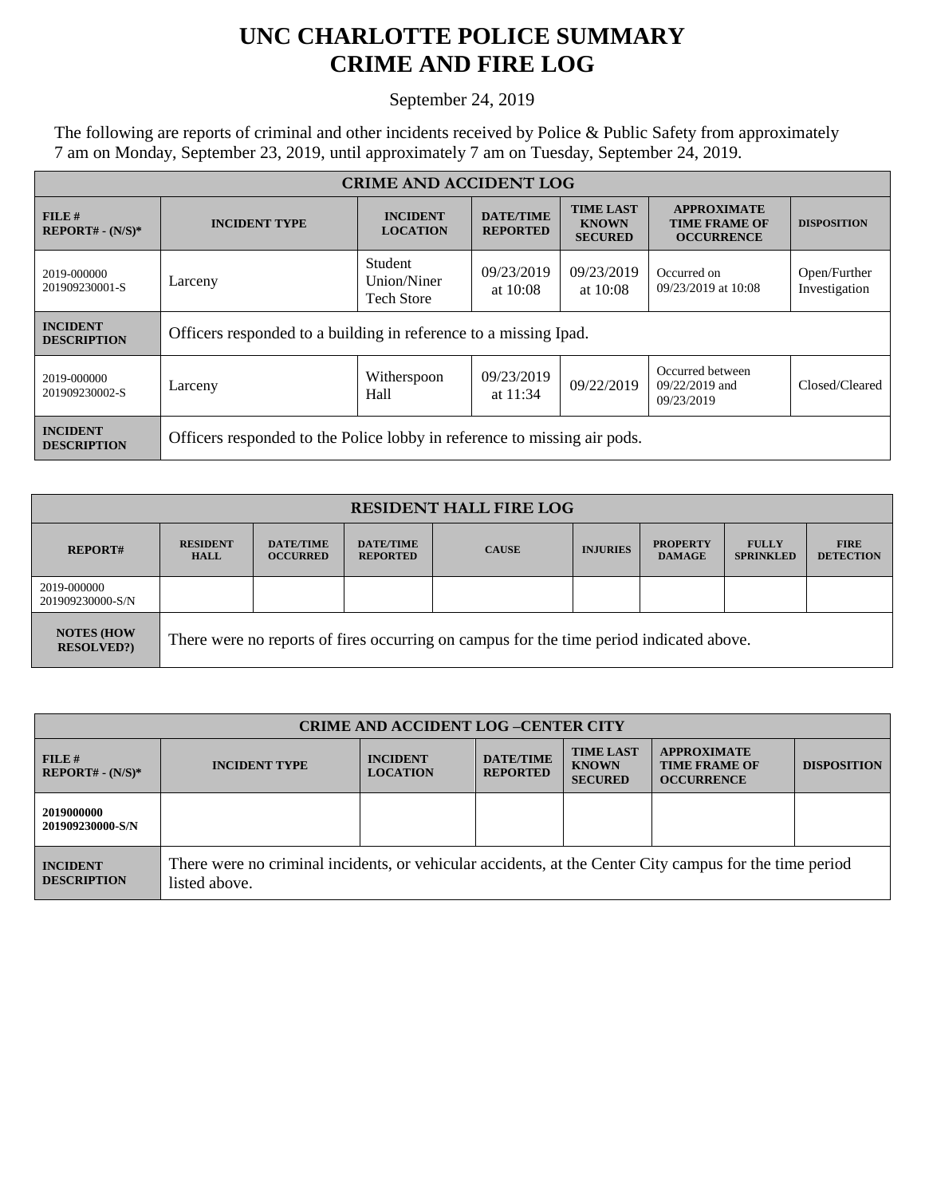## **UNC CHARLOTTE POLICE SUMMARY CRIME AND FIRE LOG**

September 24, 2019

The following are reports of criminal and other incidents received by Police & Public Safety from approximately 7 am on Monday, September 23, 2019, until approximately 7 am on Tuesday, September 24, 2019.

| <b>CRIME AND ACCIDENT LOG</b>         |                                                                          |                                             |                                     |                                                    |                                                                 |                               |
|---------------------------------------|--------------------------------------------------------------------------|---------------------------------------------|-------------------------------------|----------------------------------------------------|-----------------------------------------------------------------|-------------------------------|
| FILE#<br>$REPORT# - (N/S)*$           | <b>INCIDENT TYPE</b>                                                     | <b>INCIDENT</b><br><b>LOCATION</b>          | <b>DATE/TIME</b><br><b>REPORTED</b> | <b>TIME LAST</b><br><b>KNOWN</b><br><b>SECURED</b> | <b>APPROXIMATE</b><br><b>TIME FRAME OF</b><br><b>OCCURRENCE</b> | <b>DISPOSITION</b>            |
| 2019-000000<br>201909230001-S         | Larceny                                                                  | Student<br>Union/Niner<br><b>Tech Store</b> | 09/23/2019<br>at $10:08$            | 09/23/2019<br>at $10:08$                           | Occurred on<br>09/23/2019 at 10:08                              | Open/Further<br>Investigation |
| <b>INCIDENT</b><br><b>DESCRIPTION</b> | Officers responded to a building in reference to a missing Ipad.         |                                             |                                     |                                                    |                                                                 |                               |
| 2019-000000<br>201909230002-S         | Larceny                                                                  | Witherspoon<br>Hall                         | 09/23/2019<br>at $11:34$            | 09/22/2019                                         | Occurred between<br>09/22/2019 and<br>09/23/2019                | Closed/Cleared                |
| <b>INCIDENT</b><br><b>DESCRIPTION</b> | Officers responded to the Police lobby in reference to missing air pods. |                                             |                                     |                                                    |                                                                 |                               |

| <b>RESIDENT HALL FIRE LOG</b>           |                                                                                         |                                     |                                     |              |                 |                                  |                                  |                                 |
|-----------------------------------------|-----------------------------------------------------------------------------------------|-------------------------------------|-------------------------------------|--------------|-----------------|----------------------------------|----------------------------------|---------------------------------|
| <b>REPORT#</b>                          | <b>RESIDENT</b><br><b>HALL</b>                                                          | <b>DATE/TIME</b><br><b>OCCURRED</b> | <b>DATE/TIME</b><br><b>REPORTED</b> | <b>CAUSE</b> | <b>INJURIES</b> | <b>PROPERTY</b><br><b>DAMAGE</b> | <b>FULLY</b><br><b>SPRINKLED</b> | <b>FIRE</b><br><b>DETECTION</b> |
| 2019-000000<br>201909230000-S/N         |                                                                                         |                                     |                                     |              |                 |                                  |                                  |                                 |
| <b>NOTES (HOW)</b><br><b>RESOLVED?)</b> | There were no reports of fires occurring on campus for the time period indicated above. |                                     |                                     |              |                 |                                  |                                  |                                 |

| <b>CRIME AND ACCIDENT LOG-CENTER CITY</b> |                                                                                                                          |                                    |                                     |                                                    |                                                                 |                    |
|-------------------------------------------|--------------------------------------------------------------------------------------------------------------------------|------------------------------------|-------------------------------------|----------------------------------------------------|-----------------------------------------------------------------|--------------------|
| $FILE$ #<br>$REPORT# - (N/S)*$            | <b>INCIDENT TYPE</b>                                                                                                     | <b>INCIDENT</b><br><b>LOCATION</b> | <b>DATE/TIME</b><br><b>REPORTED</b> | <b>TIME LAST</b><br><b>KNOWN</b><br><b>SECURED</b> | <b>APPROXIMATE</b><br><b>TIME FRAME OF</b><br><b>OCCURRENCE</b> | <b>DISPOSITION</b> |
| 2019000000<br>201909230000-S/N            |                                                                                                                          |                                    |                                     |                                                    |                                                                 |                    |
| <b>INCIDENT</b><br><b>DESCRIPTION</b>     | There were no criminal incidents, or vehicular accidents, at the Center City campus for the time period<br>listed above. |                                    |                                     |                                                    |                                                                 |                    |